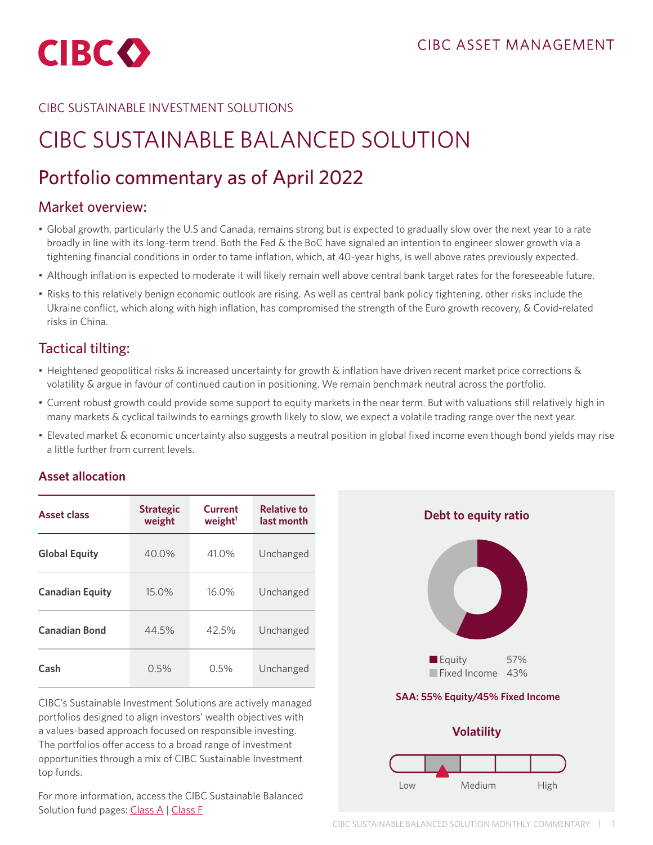

### CIBC SUSTAINABLE INVESTMENT SOLUTIONS

# CIBC SUSTAINABLE BALANCED SOLUTION

## Portfolio commentary as of April 2022

## Market overview:

- Global growth, particularly the U.S and Canada, remains strong but is expected to gradually slow over the next year to a rate broadly in line with its long-term trend. Both the Fed & the BoC have signaled an intention to engineer slower growth via a tightening financial conditions in order to tame inflation, which, at 40-year highs, is well above rates previously expected.
- Although inflation is expected to moderate it will likely remain well above central bank target rates for the foreseeable future.
- Risks to this relatively benign economic outlook are rising. As well as central bank policy tightening, other risks include the Ukraine conflict, which along with high inflation, has compromised the strength of the Euro growth recovery, & Covid-related risks in China.

## Tactical tilting:

- Heightened geopolitical risks & increased uncertainty for growth & inflation have driven recent market price corrections & volatility & argue in favour of continued caution in positioning. We remain benchmark neutral across the portfolio.
- Current robust growth could provide some support to equity markets in the near term. But with valuations still relatively high in many markets & cyclical tailwinds to earnings growth likely to slow, we expect a volatile trading range over the next year.
- Elevated market & economic uncertainty also suggests a neutral position in global fixed income even though bond yields may rise a little further from current levels.

#### **Asset allocation**

| <b>Asset class</b>     | <b>Strategic</b><br>weight | Current<br>weight <sup>1</sup> | <b>Relative to</b><br>last month |
|------------------------|----------------------------|--------------------------------|----------------------------------|
| <b>Global Equity</b>   | 40.0%                      | 41.0%                          | Unchanged                        |
| <b>Canadian Equity</b> | 15.0%                      | $16.0\%$                       | Unchanged                        |
| <b>Canadian Bond</b>   | 44.5%                      | 42.5%                          | Unchanged                        |
| Cash                   | 0.5%                       | 0.5%                           | Unchanged                        |

CIBC's Sustainable Investment Solutions are actively managed portfolios designed to align investors' wealth objectives with a values-based approach focused on responsible investing. The portfolios offer access to a broad range of investment opportunities through a mix of CIBC Sustainable Investment top funds.

For more information, access the CIBC Sustainable Balanced Solution fund pages: [Class A](https://www.cibc.com/en/personal-banking/investments/mutual-funds/sustainable-investment-strategies/balanced-solution.html
) | [Class F](https://www.cibc.com/en/personal-banking/investments/mutual-funds/sustainable-investment-strategies/balanced-solution.html)